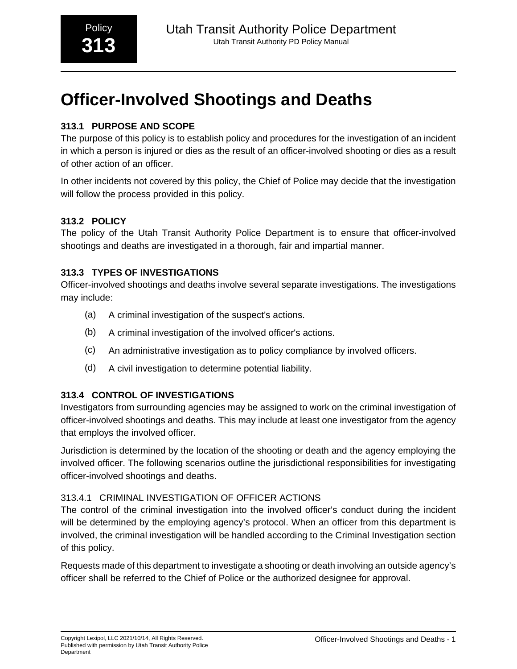# **Officer-Involved Shootings and Deaths**

## **313.1 PURPOSE AND SCOPE**

The purpose of this policy is to establish policy and procedures for the investigation of an incident in which a person is injured or dies as the result of an officer-involved shooting or dies as a result of other action of an officer.

In other incidents not covered by this policy, the Chief of Police may decide that the investigation will follow the process provided in this policy.

## **313.2 POLICY**

The policy of the Utah Transit Authority Police Department is to ensure that officer-involved shootings and deaths are investigated in a thorough, fair and impartial manner.

## **313.3 TYPES OF INVESTIGATIONS**

Officer-involved shootings and deaths involve several separate investigations. The investigations may include:

- (a) A criminal investigation of the suspect's actions.
- (b) A criminal investigation of the involved officer's actions.
- (c) An administrative investigation as to policy compliance by involved officers.
- (d) A civil investigation to determine potential liability.

## **313.4 CONTROL OF INVESTIGATIONS**

Investigators from surrounding agencies may be assigned to work on the criminal investigation of officer-involved shootings and deaths. This may include at least one investigator from the agency that employs the involved officer.

Jurisdiction is determined by the location of the shooting or death and the agency employing the involved officer. The following scenarios outline the jurisdictional responsibilities for investigating officer-involved shootings and deaths.

### 313.4.1 CRIMINAL INVESTIGATION OF OFFICER ACTIONS

The control of the criminal investigation into the involved officer's conduct during the incident will be determined by the employing agency's protocol. When an officer from this department is involved, the criminal investigation will be handled according to the Criminal Investigation section of this policy.

Requests made of this department to investigate a shooting or death involving an outside agency's officer shall be referred to the Chief of Police or the authorized designee for approval.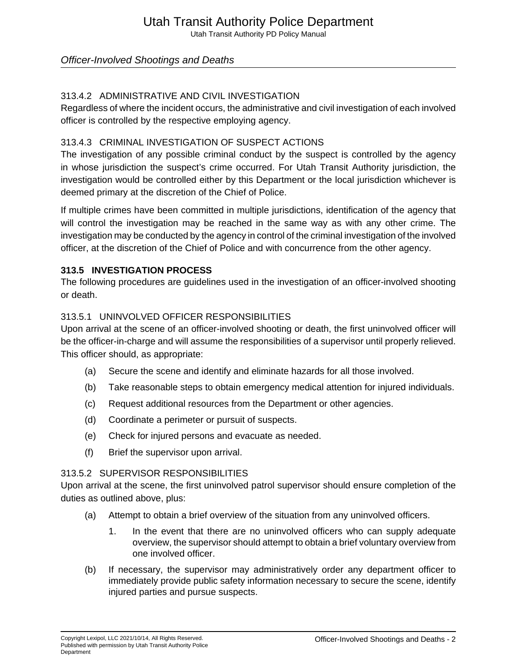## Utah Transit Authority Police Department

Utah Transit Authority PD Policy Manual

## Officer-Involved Shootings and Deaths

### 313.4.2 ADMINISTRATIVE AND CIVIL INVESTIGATION

Regardless of where the incident occurs, the administrative and civil investigation of each involved officer is controlled by the respective employing agency.

#### 313.4.3 CRIMINAL INVESTIGATION OF SUSPECT ACTIONS

The investigation of any possible criminal conduct by the suspect is controlled by the agency in whose jurisdiction the suspect's crime occurred. For Utah Transit Authority jurisdiction, the investigation would be controlled either by this Department or the local jurisdiction whichever is deemed primary at the discretion of the Chief of Police.

If multiple crimes have been committed in multiple jurisdictions, identification of the agency that will control the investigation may be reached in the same way as with any other crime. The investigation may be conducted by the agency in control of the criminal investigation of the involved officer, at the discretion of the Chief of Police and with concurrence from the other agency.

#### **313.5 INVESTIGATION PROCESS**

The following procedures are guidelines used in the investigation of an officer-involved shooting or death.

#### 313.5.1 UNINVOLVED OFFICER RESPONSIBILITIES

Upon arrival at the scene of an officer-involved shooting or death, the first uninvolved officer will be the officer-in-charge and will assume the responsibilities of a supervisor until properly relieved. This officer should, as appropriate:

- (a) Secure the scene and identify and eliminate hazards for all those involved.
- (b) Take reasonable steps to obtain emergency medical attention for injured individuals.
- (c) Request additional resources from the Department or other agencies.
- (d) Coordinate a perimeter or pursuit of suspects.
- (e) Check for injured persons and evacuate as needed.
- (f) Brief the supervisor upon arrival.

#### 313.5.2 SUPERVISOR RESPONSIBILITIES

Upon arrival at the scene, the first uninvolved patrol supervisor should ensure completion of the duties as outlined above, plus:

- (a) Attempt to obtain a brief overview of the situation from any uninvolved officers.
	- 1. In the event that there are no uninvolved officers who can supply adequate overview, the supervisor should attempt to obtain a brief voluntary overview from one involved officer.
- (b) If necessary, the supervisor may administratively order any department officer to immediately provide public safety information necessary to secure the scene, identify injured parties and pursue suspects.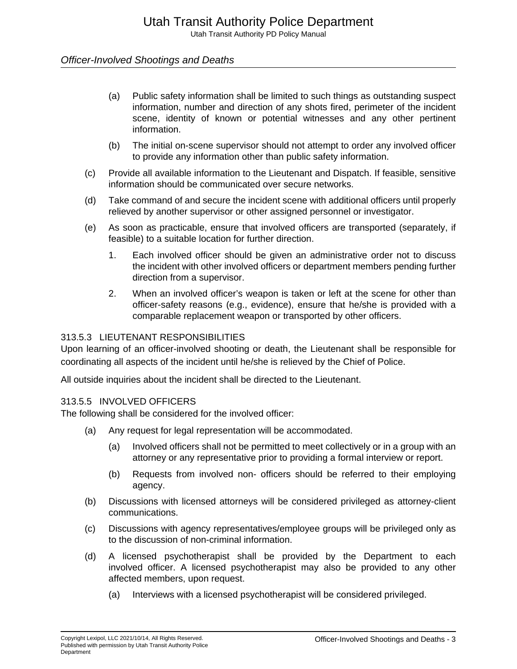## Officer-Involved Shootings and Deaths

- (a) Public safety information shall be limited to such things as outstanding suspect information, number and direction of any shots fired, perimeter of the incident scene, identity of known or potential witnesses and any other pertinent information.
- (b) The initial on-scene supervisor should not attempt to order any involved officer to provide any information other than public safety information.
- (c) Provide all available information to the Lieutenant and Dispatch. If feasible, sensitive information should be communicated over secure networks.
- (d) Take command of and secure the incident scene with additional officers until properly relieved by another supervisor or other assigned personnel or investigator.
- (e) As soon as practicable, ensure that involved officers are transported (separately, if feasible) to a suitable location for further direction.
	- 1. Each involved officer should be given an administrative order not to discuss the incident with other involved officers or department members pending further direction from a supervisor.
	- 2. When an involved officer's weapon is taken or left at the scene for other than officer-safety reasons (e.g., evidence), ensure that he/she is provided with a comparable replacement weapon or transported by other officers.

#### 313.5.3 LIEUTENANT RESPONSIBILITIES

Upon learning of an officer-involved shooting or death, the Lieutenant shall be responsible for coordinating all aspects of the incident until he/she is relieved by the Chief of Police.

All outside inquiries about the incident shall be directed to the Lieutenant.

#### 313.5.5 INVOLVED OFFICERS

The following shall be considered for the involved officer:

- (a) Any request for legal representation will be accommodated.
	- (a) Involved officers shall not be permitted to meet collectively or in a group with an attorney or any representative prior to providing a formal interview or report.
	- (b) Requests from involved non- officers should be referred to their employing agency.
- (b) Discussions with licensed attorneys will be considered privileged as attorney-client communications.
- (c) Discussions with agency representatives/employee groups will be privileged only as to the discussion of non-criminal information.
- (d) A licensed psychotherapist shall be provided by the Department to each involved officer. A licensed psychotherapist may also be provided to any other affected members, upon request.
	- (a) Interviews with a licensed psychotherapist will be considered privileged.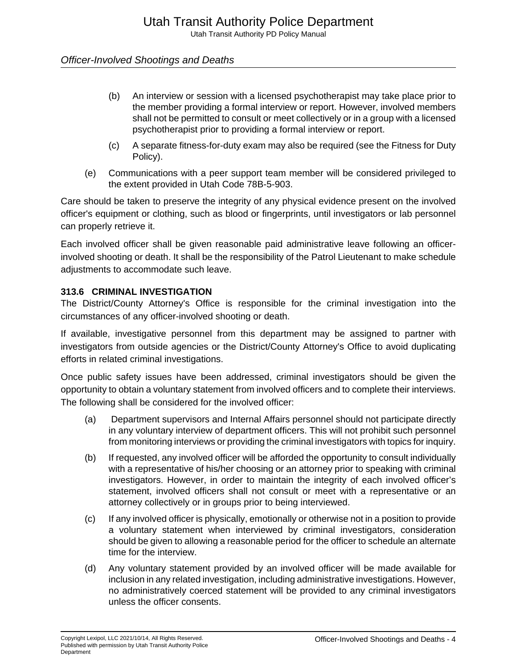## Officer-Involved Shootings and Deaths

- (b) An interview or session with a licensed psychotherapist may take place prior to the member providing a formal interview or report. However, involved members shall not be permitted to consult or meet collectively or in a group with a licensed psychotherapist prior to providing a formal interview or report.
- (c) A separate fitness-for-duty exam may also be required (see the Fitness for Duty Policy).
- (e) Communications with a peer support team member will be considered privileged to the extent provided in Utah Code 78B-5-903.

Care should be taken to preserve the integrity of any physical evidence present on the involved officer's equipment or clothing, such as blood or fingerprints, until investigators or lab personnel can properly retrieve it.

Each involved officer shall be given reasonable paid administrative leave following an officerinvolved shooting or death. It shall be the responsibility of the Patrol Lieutenant to make schedule adjustments to accommodate such leave.

#### **313.6 CRIMINAL INVESTIGATION**

The District/County Attorney's Office is responsible for the criminal investigation into the circumstances of any officer-involved shooting or death.

If available, investigative personnel from this department may be assigned to partner with investigators from outside agencies or the District/County Attorney's Office to avoid duplicating efforts in related criminal investigations.

Once public safety issues have been addressed, criminal investigators should be given the opportunity to obtain a voluntary statement from involved officers and to complete their interviews. The following shall be considered for the involved officer:

- (a) Department supervisors and Internal Affairs personnel should not participate directly in any voluntary interview of department officers. This will not prohibit such personnel from monitoring interviews or providing the criminal investigators with topics for inquiry.
- (b) If requested, any involved officer will be afforded the opportunity to consult individually with a representative of his/her choosing or an attorney prior to speaking with criminal investigators. However, in order to maintain the integrity of each involved officer's statement, involved officers shall not consult or meet with a representative or an attorney collectively or in groups prior to being interviewed.
- (c) If any involved officer is physically, emotionally or otherwise not in a position to provide a voluntary statement when interviewed by criminal investigators, consideration should be given to allowing a reasonable period for the officer to schedule an alternate time for the interview.
- (d) Any voluntary statement provided by an involved officer will be made available for inclusion in any related investigation, including administrative investigations. However, no administratively coerced statement will be provided to any criminal investigators unless the officer consents.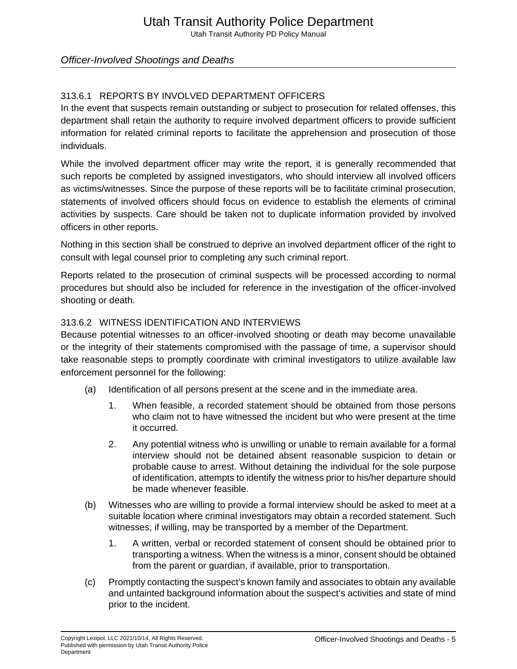## Officer-Involved Shootings and Deaths

## 313.6.1 REPORTS BY INVOLVED DEPARTMENT OFFICERS

In the event that suspects remain outstanding or subject to prosecution for related offenses, this department shall retain the authority to require involved department officers to provide sufficient information for related criminal reports to facilitate the apprehension and prosecution of those individuals.

While the involved department officer may write the report, it is generally recommended that such reports be completed by assigned investigators, who should interview all involved officers as victims/witnesses. Since the purpose of these reports will be to facilitate criminal prosecution, statements of involved officers should focus on evidence to establish the elements of criminal activities by suspects. Care should be taken not to duplicate information provided by involved officers in other reports.

Nothing in this section shall be construed to deprive an involved department officer of the right to consult with legal counsel prior to completing any such criminal report.

Reports related to the prosecution of criminal suspects will be processed according to normal procedures but should also be included for reference in the investigation of the officer-involved shooting or death.

#### 313.6.2 WITNESS IDENTIFICATION AND INTERVIEWS

Because potential witnesses to an officer-involved shooting or death may become unavailable or the integrity of their statements compromised with the passage of time, a supervisor should take reasonable steps to promptly coordinate with criminal investigators to utilize available law enforcement personnel for the following:

- (a) Identification of all persons present at the scene and in the immediate area.
	- 1. When feasible, a recorded statement should be obtained from those persons who claim not to have witnessed the incident but who were present at the time it occurred.
	- 2. Any potential witness who is unwilling or unable to remain available for a formal interview should not be detained absent reasonable suspicion to detain or probable cause to arrest. Without detaining the individual for the sole purpose of identification, attempts to identify the witness prior to his/her departure should be made whenever feasible.
- (b) Witnesses who are willing to provide a formal interview should be asked to meet at a suitable location where criminal investigators may obtain a recorded statement. Such witnesses, if willing, may be transported by a member of the Department.
	- 1. A written, verbal or recorded statement of consent should be obtained prior to transporting a witness. When the witness is a minor, consent should be obtained from the parent or guardian, if available, prior to transportation.
- (c) Promptly contacting the suspect's known family and associates to obtain any available and untainted background information about the suspect's activities and state of mind prior to the incident.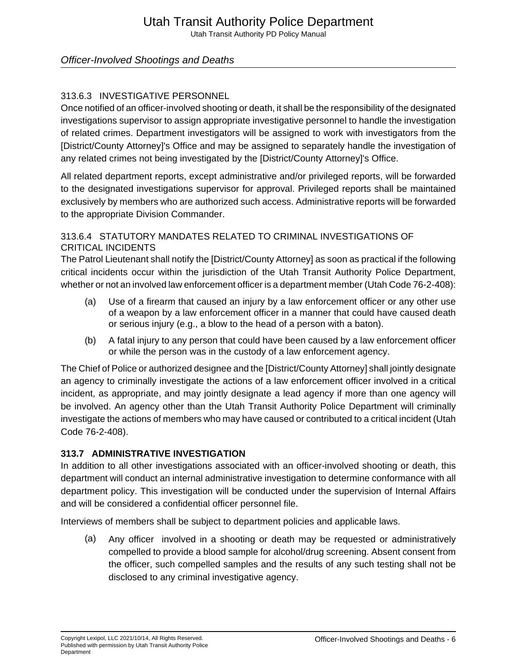## Officer-Involved Shootings and Deaths

## 313.6.3 INVESTIGATIVE PERSONNEL

Once notified of an officer-involved shooting or death, it shall be the responsibility of the designated investigations supervisor to assign appropriate investigative personnel to handle the investigation of related crimes. Department investigators will be assigned to work with investigators from the [District/County Attorney]'s Office and may be assigned to separately handle the investigation of any related crimes not being investigated by the [District/County Attorney]'s Office.

All related department reports, except administrative and/or privileged reports, will be forwarded to the designated investigations supervisor for approval. Privileged reports shall be maintained exclusively by members who are authorized such access. Administrative reports will be forwarded to the appropriate Division Commander.

## 313.6.4 STATUTORY MANDATES RELATED TO CRIMINAL INVESTIGATIONS OF CRITICAL INCIDENTS

The Patrol Lieutenant shall notify the [District/County Attorney] as soon as practical if the following critical incidents occur within the jurisdiction of the Utah Transit Authority Police Department, whether or not an involved law enforcement officer is a department member (Utah Code 76-2-408):

- (a) Use of a firearm that caused an injury by a law enforcement officer or any other use of a weapon by a law enforcement officer in a manner that could have caused death or serious injury (e.g., a blow to the head of a person with a baton).
- (b) A fatal injury to any person that could have been caused by a law enforcement officer or while the person was in the custody of a law enforcement agency.

The Chief of Police or authorized designee and the [District/County Attorney] shall jointly designate an agency to criminally investigate the actions of a law enforcement officer involved in a critical incident, as appropriate, and may jointly designate a lead agency if more than one agency will be involved. An agency other than the Utah Transit Authority Police Department will criminally investigate the actions of members who may have caused or contributed to a critical incident (Utah Code 76-2-408).

### **313.7 ADMINISTRATIVE INVESTIGATION**

In addition to all other investigations associated with an officer-involved shooting or death, this department will conduct an internal administrative investigation to determine conformance with all department policy. This investigation will be conducted under the supervision of Internal Affairs and will be considered a confidential officer personnel file.

Interviews of members shall be subject to department policies and applicable laws.

(a) Any officer involved in a shooting or death may be requested or administratively compelled to provide a blood sample for alcohol/drug screening. Absent consent from the officer, such compelled samples and the results of any such testing shall not be disclosed to any criminal investigative agency.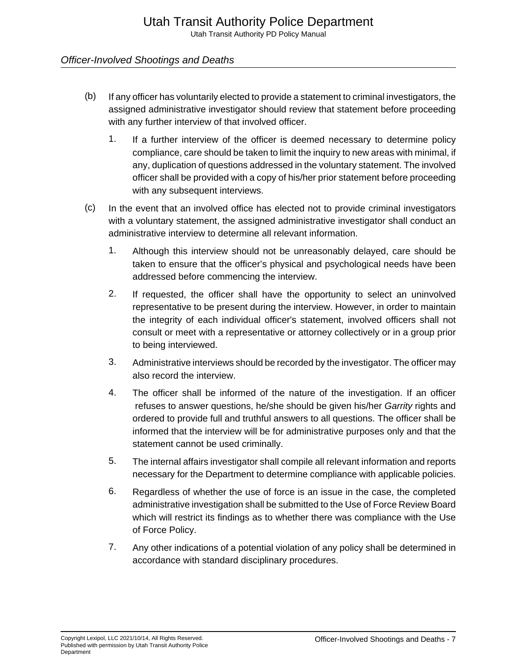## Officer-Involved Shootings and Deaths

- (b) If any officer has voluntarily elected to provide a statement to criminal investigators, the assigned administrative investigator should review that statement before proceeding with any further interview of that involved officer.
	- 1. If a further interview of the officer is deemed necessary to determine policy compliance, care should be taken to limit the inquiry to new areas with minimal, if any, duplication of questions addressed in the voluntary statement. The involved officer shall be provided with a copy of his/her prior statement before proceeding with any subsequent interviews.
- (c) In the event that an involved office has elected not to provide criminal investigators with a voluntary statement, the assigned administrative investigator shall conduct an administrative interview to determine all relevant information.
	- 1. Although this interview should not be unreasonably delayed, care should be taken to ensure that the officer's physical and psychological needs have been addressed before commencing the interview.
	- 2. If requested, the officer shall have the opportunity to select an uninvolved representative to be present during the interview. However, in order to maintain the integrity of each individual officer's statement, involved officers shall not consult or meet with a representative or attorney collectively or in a group prior to being interviewed.
	- 3. Administrative interviews should be recorded by the investigator. The officer may also record the interview.
	- 4. The officer shall be informed of the nature of the investigation. If an officer refuses to answer questions, he/she should be given his/her Garrity rights and ordered to provide full and truthful answers to all questions. The officer shall be informed that the interview will be for administrative purposes only and that the statement cannot be used criminally.
	- 5. The internal affairs investigator shall compile all relevant information and reports necessary for the Department to determine compliance with applicable policies.
	- 6. Regardless of whether the use of force is an issue in the case, the completed administrative investigation shall be submitted to the Use of Force Review Board which will restrict its findings as to whether there was compliance with the Use of Force Policy.
	- 7. Any other indications of a potential violation of any policy shall be determined in accordance with standard disciplinary procedures.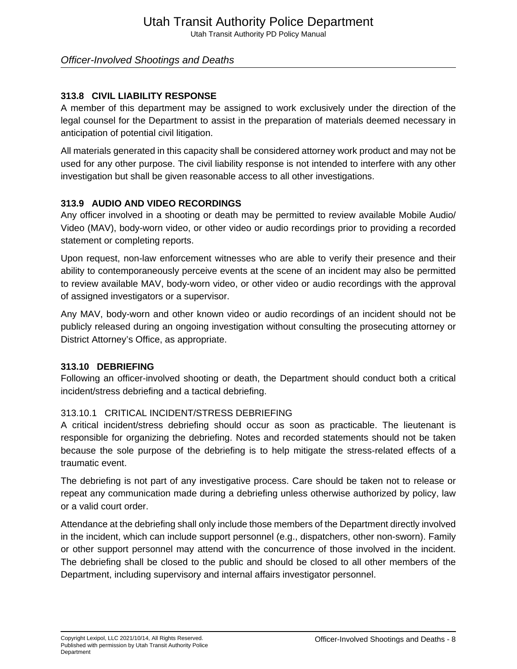Officer-Involved Shootings and Deaths

### **313.8 CIVIL LIABILITY RESPONSE**

A member of this department may be assigned to work exclusively under the direction of the legal counsel for the Department to assist in the preparation of materials deemed necessary in anticipation of potential civil litigation.

All materials generated in this capacity shall be considered attorney work product and may not be used for any other purpose. The civil liability response is not intended to interfere with any other investigation but shall be given reasonable access to all other investigations.

## **313.9 AUDIO AND VIDEO RECORDINGS**

Any officer involved in a shooting or death may be permitted to review available Mobile Audio/ Video (MAV), body-worn video, or other video or audio recordings prior to providing a recorded statement or completing reports.

Upon request, non-law enforcement witnesses who are able to verify their presence and their ability to contemporaneously perceive events at the scene of an incident may also be permitted to review available MAV, body-worn video, or other video or audio recordings with the approval of assigned investigators or a supervisor.

Any MAV, body-worn and other known video or audio recordings of an incident should not be publicly released during an ongoing investigation without consulting the prosecuting attorney or District Attorney's Office, as appropriate.

### **313.10 DEBRIEFING**

Following an officer-involved shooting or death, the Department should conduct both a critical incident/stress debriefing and a tactical debriefing.

### 313.10.1 CRITICAL INCIDENT/STRESS DEBRIEFING

A critical incident/stress debriefing should occur as soon as practicable. The lieutenant is responsible for organizing the debriefing. Notes and recorded statements should not be taken because the sole purpose of the debriefing is to help mitigate the stress-related effects of a traumatic event.

The debriefing is not part of any investigative process. Care should be taken not to release or repeat any communication made during a debriefing unless otherwise authorized by policy, law or a valid court order.

Attendance at the debriefing shall only include those members of the Department directly involved in the incident, which can include support personnel (e.g., dispatchers, other non-sworn). Family or other support personnel may attend with the concurrence of those involved in the incident. The debriefing shall be closed to the public and should be closed to all other members of the Department, including supervisory and internal affairs investigator personnel.